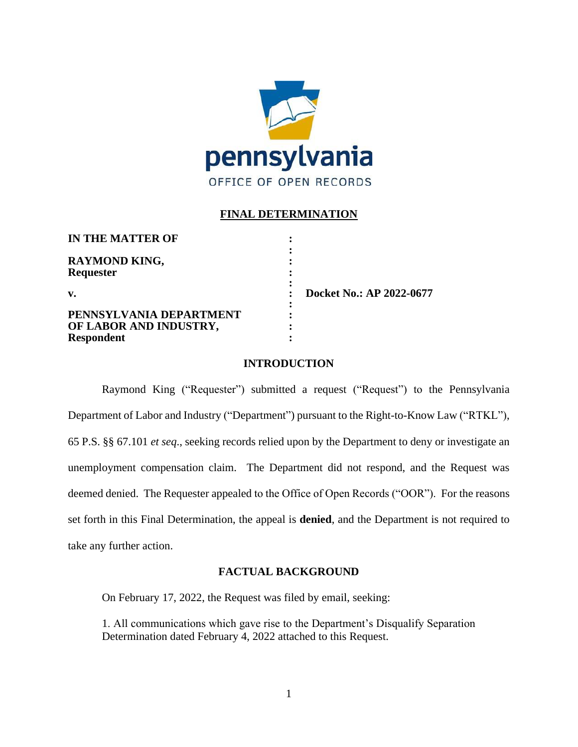

## **FINAL DETERMINATION**

**:**

**:**

**:**

**IN THE MATTER OF :**

**RAYMOND KING, : Requester :**

## **PENNSYLVANIA DEPARTMENT : OF LABOR AND INDUSTRY, : Respondent :**

**v. : Docket No.: AP 2022-0677**

## **INTRODUCTION**

Raymond King ("Requester") submitted a request ("Request") to the Pennsylvania Department of Labor and Industry ("Department") pursuant to the Right-to-Know Law ("RTKL"), 65 P.S. §§ 67.101 *et seq*., seeking records relied upon by the Department to deny or investigate an unemployment compensation claim. The Department did not respond, and the Request was deemed denied. The Requester appealed to the Office of Open Records ("OOR"). For the reasons set forth in this Final Determination, the appeal is **denied**, and the Department is not required to take any further action.

## **FACTUAL BACKGROUND**

On February 17, 2022, the Request was filed by email, seeking:

1. All communications which gave rise to the Department's Disqualify Separation Determination dated February 4, 2022 attached to this Request.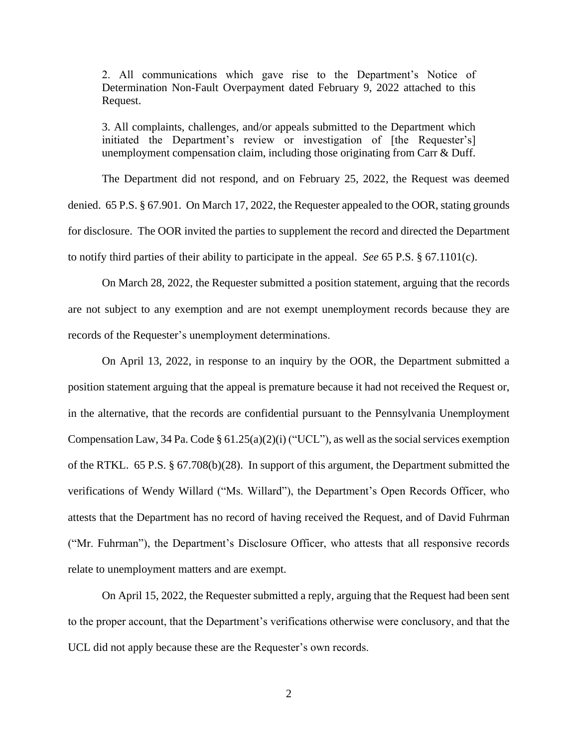2. All communications which gave rise to the Department's Notice of Determination Non-Fault Overpayment dated February 9, 2022 attached to this Request.

3. All complaints, challenges, and/or appeals submitted to the Department which initiated the Department's review or investigation of [the Requester's] unemployment compensation claim, including those originating from Carr & Duff.

The Department did not respond, and on February 25, 2022, the Request was deemed denied. 65 P.S. § 67.901. On March 17, 2022, the Requester appealed to the OOR, stating grounds for disclosure. The OOR invited the parties to supplement the record and directed the Department to notify third parties of their ability to participate in the appeal. *See* 65 P.S. § 67.1101(c).

On March 28, 2022, the Requester submitted a position statement, arguing that the records are not subject to any exemption and are not exempt unemployment records because they are records of the Requester's unemployment determinations.

On April 13, 2022, in response to an inquiry by the OOR, the Department submitted a position statement arguing that the appeal is premature because it had not received the Request or, in the alternative, that the records are confidential pursuant to the Pennsylvania Unemployment Compensation Law, 34 Pa. Code § 61.25(a)(2)(i) ("UCL"), as well as the social services exemption of the RTKL. 65 P.S. § 67.708(b)(28). In support of this argument, the Department submitted the verifications of Wendy Willard ("Ms. Willard"), the Department's Open Records Officer, who attests that the Department has no record of having received the Request, and of David Fuhrman ("Mr. Fuhrman"), the Department's Disclosure Officer, who attests that all responsive records relate to unemployment matters and are exempt.

On April 15, 2022, the Requester submitted a reply, arguing that the Request had been sent to the proper account, that the Department's verifications otherwise were conclusory, and that the UCL did not apply because these are the Requester's own records.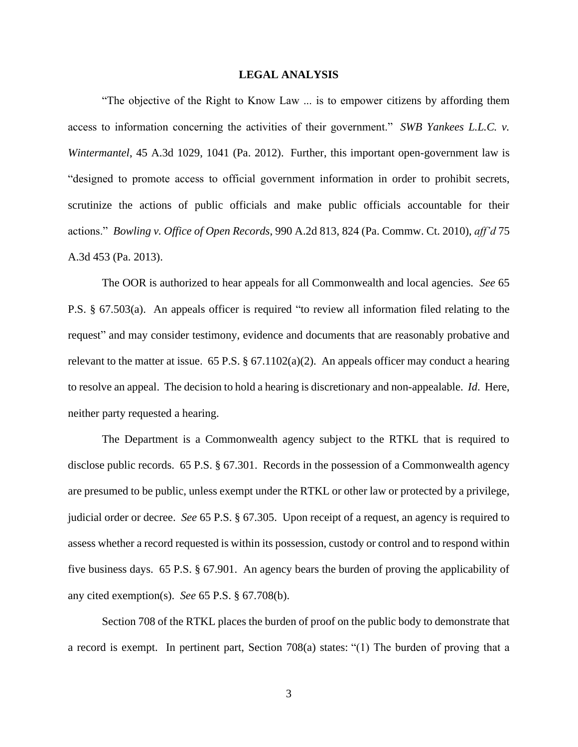#### **LEGAL ANALYSIS**

"The objective of the Right to Know Law ... is to empower citizens by affording them access to information concerning the activities of their government." *SWB Yankees L.L.C. v. Wintermantel*, 45 A.3d 1029, 1041 (Pa. 2012). Further, this important open-government law is "designed to promote access to official government information in order to prohibit secrets, scrutinize the actions of public officials and make public officials accountable for their actions." *Bowling v. Office of Open Records*, 990 A.2d 813, 824 (Pa. Commw. Ct. 2010), *aff'd* 75 A.3d 453 (Pa. 2013).

The OOR is authorized to hear appeals for all Commonwealth and local agencies. *See* 65 P.S. § 67.503(a). An appeals officer is required "to review all information filed relating to the request" and may consider testimony, evidence and documents that are reasonably probative and relevant to the matter at issue. 65 P.S.  $\S$  67.1102(a)(2). An appeals officer may conduct a hearing to resolve an appeal. The decision to hold a hearing is discretionary and non-appealable. *Id*. Here, neither party requested a hearing.

The Department is a Commonwealth agency subject to the RTKL that is required to disclose public records. 65 P.S. § 67.301. Records in the possession of a Commonwealth agency are presumed to be public, unless exempt under the RTKL or other law or protected by a privilege, judicial order or decree. *See* 65 P.S. § 67.305. Upon receipt of a request, an agency is required to assess whether a record requested is within its possession, custody or control and to respond within five business days. 65 P.S. § 67.901. An agency bears the burden of proving the applicability of any cited exemption(s). *See* 65 P.S. § 67.708(b).

Section 708 of the RTKL places the burden of proof on the public body to demonstrate that a record is exempt. In pertinent part, Section 708(a) states: "(1) The burden of proving that a

3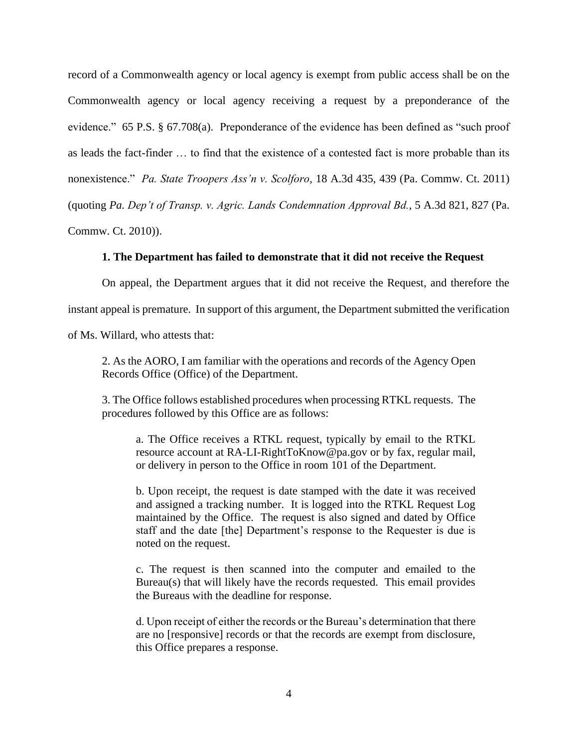record of a Commonwealth agency or local agency is exempt from public access shall be on the Commonwealth agency or local agency receiving a request by a preponderance of the evidence." 65 P.S. § 67.708(a). Preponderance of the evidence has been defined as "such proof as leads the fact-finder … to find that the existence of a contested fact is more probable than its nonexistence." *Pa. State Troopers Ass'n v. Scolforo*, 18 A.3d 435, 439 (Pa. Commw. Ct. 2011) (quoting *Pa. Dep't of Transp. v. Agric. Lands Condemnation Approval Bd.*, 5 A.3d 821, 827 (Pa. Commw. Ct. 2010)).

## **1. The Department has failed to demonstrate that it did not receive the Request**

On appeal, the Department argues that it did not receive the Request, and therefore the instant appeal is premature. In support of this argument, the Department submitted the verification of Ms. Willard, who attests that:

2. As the AORO, I am familiar with the operations and records of the Agency Open Records Office (Office) of the Department.

3. The Office follows established procedures when processing RTKL requests. The procedures followed by this Office are as follows:

a. The Office receives a RTKL request, typically by email to the RTKL resource account at RA-LI-RightToKnow@pa.gov or by fax, regular mail, or delivery in person to the Office in room 101 of the Department.

b. Upon receipt, the request is date stamped with the date it was received and assigned a tracking number. It is logged into the RTKL Request Log maintained by the Office. The request is also signed and dated by Office staff and the date [the] Department's response to the Requester is due is noted on the request.

c. The request is then scanned into the computer and emailed to the Bureau(s) that will likely have the records requested. This email provides the Bureaus with the deadline for response.

d. Upon receipt of either the records or the Bureau's determination that there are no [responsive] records or that the records are exempt from disclosure, this Office prepares a response.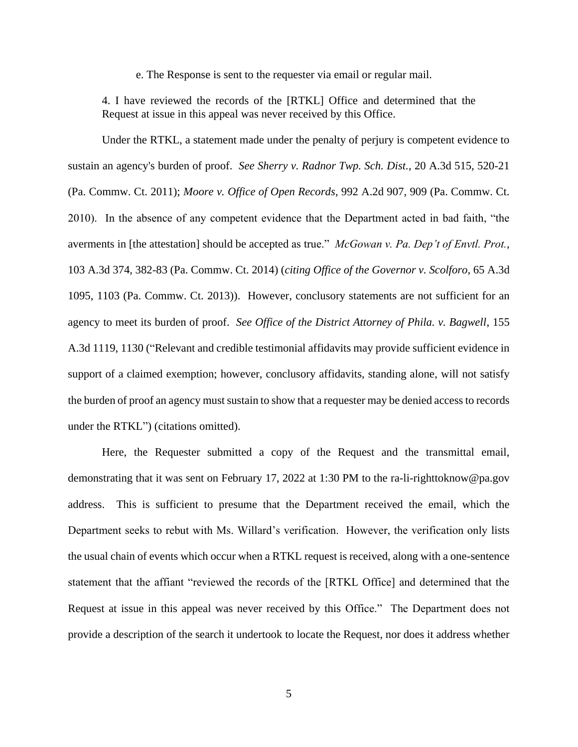e. The Response is sent to the requester via email or regular mail.

4. I have reviewed the records of the [RTKL] Office and determined that the Request at issue in this appeal was never received by this Office.

Under the RTKL, a statement made under the penalty of perjury is competent evidence to sustain an agency's burden of proof. *See Sherry v. Radnor Twp. Sch. Dist.*, 20 A.3d 515, 520-21 (Pa. Commw. Ct. 2011); *Moore v. Office of Open Records*, 992 A.2d 907, 909 (Pa. Commw. Ct. 2010). In the absence of any competent evidence that the Department acted in bad faith, "the averments in [the attestation] should be accepted as true." *McGowan v. Pa. Dep't of Envtl. Prot.*, 103 A.3d 374, 382-83 (Pa. Commw. Ct. 2014) (*citing Office of the Governor v. Scolforo*, 65 A.3d 1095, 1103 (Pa. Commw. Ct. 2013)). However, conclusory statements are not sufficient for an agency to meet its burden of proof. *See Office of the District Attorney of Phila. v. Bagwell*, 155 A.3d 1119, 1130 ("Relevant and credible testimonial affidavits may provide sufficient evidence in support of a claimed exemption; however, conclusory affidavits, standing alone, will not satisfy the burden of proof an agency must sustain to show that a requester may be denied access to records under the RTKL") (citations omitted).

Here, the Requester submitted a copy of the Request and the transmittal email, demonstrating that it was sent on February 17, 2022 at 1:30 PM to the ra-li-righttoknow@pa.gov address. This is sufficient to presume that the Department received the email, which the Department seeks to rebut with Ms. Willard's verification. However, the verification only lists the usual chain of events which occur when a RTKL request is received, along with a one-sentence statement that the affiant "reviewed the records of the [RTKL Office] and determined that the Request at issue in this appeal was never received by this Office." The Department does not provide a description of the search it undertook to locate the Request, nor does it address whether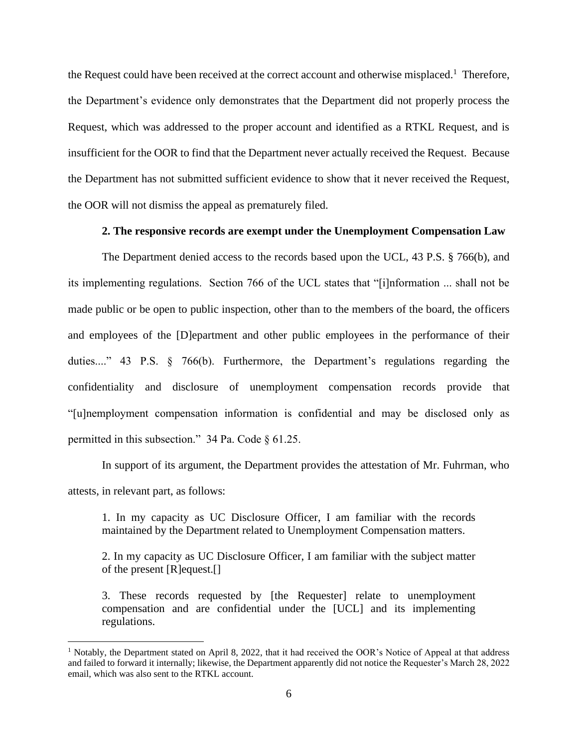the Request could have been received at the correct account and otherwise misplaced.<sup>1</sup> Therefore, the Department's evidence only demonstrates that the Department did not properly process the Request, which was addressed to the proper account and identified as a RTKL Request, and is insufficient for the OOR to find that the Department never actually received the Request. Because the Department has not submitted sufficient evidence to show that it never received the Request, the OOR will not dismiss the appeal as prematurely filed.

### **2. The responsive records are exempt under the Unemployment Compensation Law**

The Department denied access to the records based upon the UCL, 43 P.S. § 766(b), and its implementing regulations. Section 766 of the UCL states that "[i]nformation ... shall not be made public or be open to public inspection, other than to the members of the board, the officers and employees of the [D]epartment and other public employees in the performance of their duties...." 43 P.S. § 766(b). Furthermore, the Department's regulations regarding the confidentiality and disclosure of unemployment compensation records provide that "[u]nemployment compensation information is confidential and may be disclosed only as permitted in this subsection." 34 Pa. Code § 61.25.

In support of its argument, the Department provides the attestation of Mr. Fuhrman, who attests, in relevant part, as follows:

1. In my capacity as UC Disclosure Officer, I am familiar with the records maintained by the Department related to Unemployment Compensation matters.

2. In my capacity as UC Disclosure Officer, I am familiar with the subject matter of the present [R]equest.[]

3. These records requested by [the Requester] relate to unemployment compensation and are confidential under the [UCL] and its implementing regulations.

<sup>1</sup> Notably, the Department stated on April 8, 2022, that it had received the OOR's Notice of Appeal at that address and failed to forward it internally; likewise, the Department apparently did not notice the Requester's March 28, 2022 email, which was also sent to the RTKL account.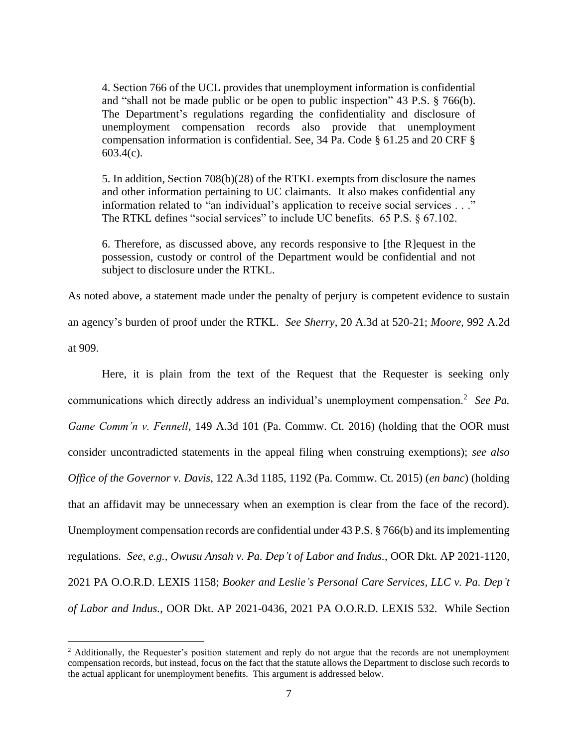4. Section 766 of the UCL provides that unemployment information is confidential and "shall not be made public or be open to public inspection" 43 P.S. § 766(b). The Department's regulations regarding the confidentiality and disclosure of unemployment compensation records also provide that unemployment compensation information is confidential. See, 34 Pa. Code § 61.25 and 20 CRF § 603.4(c).

5. In addition, Section 708(b)(28) of the RTKL exempts from disclosure the names and other information pertaining to UC claimants. It also makes confidential any information related to "an individual's application to receive social services . . ." The RTKL defines "social services" to include UC benefits. 65 P.S. § 67.102.

6. Therefore, as discussed above, any records responsive to [the R]equest in the possession, custody or control of the Department would be confidential and not subject to disclosure under the RTKL.

As noted above, a statement made under the penalty of perjury is competent evidence to sustain an agency's burden of proof under the RTKL. *See Sherry*, 20 A.3d at 520-21; *Moore*, 992 A.2d at 909.

Here, it is plain from the text of the Request that the Requester is seeking only communications which directly address an individual's unemployment compensation.<sup>2</sup> See Pa. *Game Comm'n v. Fennell*, 149 A.3d 101 (Pa. Commw. Ct. 2016) (holding that the OOR must consider uncontradicted statements in the appeal filing when construing exemptions); *see also Office of the Governor v. Davis*, 122 A.3d 1185, 1192 (Pa. Commw. Ct. 2015) (*en banc*) (holding that an affidavit may be unnecessary when an exemption is clear from the face of the record). Unemployment compensation records are confidential under 43 P.S. § 766(b) and its implementing regulations. *See, e.g., Owusu Ansah v. Pa. Dep't of Labor and Indus.*, OOR Dkt. AP 2021-1120, 2021 PA O.O.R.D. LEXIS 1158; *Booker and Leslie's Personal Care Services, LLC v. Pa. Dep't of Labor and Indus.*, OOR Dkt. AP 2021-0436, 2021 PA O.O.R.D. LEXIS 532. While Section

<sup>&</sup>lt;sup>2</sup> Additionally, the Requester's position statement and reply do not argue that the records are not unemployment compensation records, but instead, focus on the fact that the statute allows the Department to disclose such records to the actual applicant for unemployment benefits. This argument is addressed below.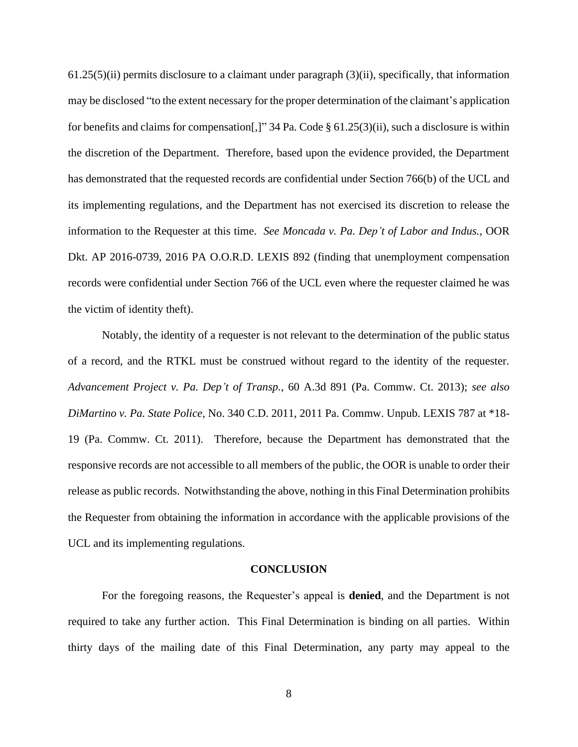$61.25(5)$ (ii) permits disclosure to a claimant under paragraph  $(3)$ (ii), specifically, that information may be disclosed "to the extent necessary for the proper determination of the claimant's application for benefits and claims for compensation[,]" 34 Pa. Code § 61.25(3)(ii), such a disclosure is within the discretion of the Department. Therefore, based upon the evidence provided, the Department has demonstrated that the requested records are confidential under Section 766(b) of the UCL and its implementing regulations, and the Department has not exercised its discretion to release the information to the Requester at this time. *See Moncada v. Pa. Dep't of Labor and Indus.*, OOR Dkt. AP 2016-0739, 2016 PA O.O.R.D. LEXIS 892 (finding that unemployment compensation records were confidential under Section 766 of the UCL even where the requester claimed he was the victim of identity theft).

Notably, the identity of a requester is not relevant to the determination of the public status of a record, and the RTKL must be construed without regard to the identity of the requester. *Advancement Project v. Pa. Dep't of Transp.*, 60 A.3d 891 (Pa. Commw. Ct. 2013); *see also DiMartino v. Pa. State Police*, No. 340 C.D. 2011, 2011 Pa. Commw. Unpub. LEXIS 787 at \*18- 19 (Pa. Commw. Ct. 2011). Therefore, because the Department has demonstrated that the responsive records are not accessible to all members of the public, the OOR is unable to order their release as public records. Notwithstanding the above, nothing in this Final Determination prohibits the Requester from obtaining the information in accordance with the applicable provisions of the UCL and its implementing regulations.

#### **CONCLUSION**

For the foregoing reasons, the Requester's appeal is **denied**, and the Department is not required to take any further action. This Final Determination is binding on all parties. Within thirty days of the mailing date of this Final Determination, any party may appeal to the